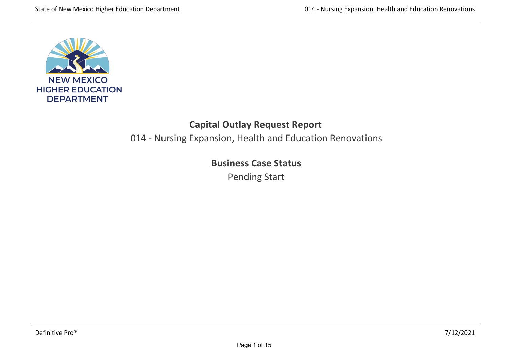

# **Capital Outlay Request Report**

014 ‐ Nursing Expansion, Health and Education Renovations

# **Business Case Status**

Pending Start

The damage caused by the first displaced over 100 employees and 175 classes. The cost of this building to repair damage from the first damage from the first damage from to  $\mathcal{A}$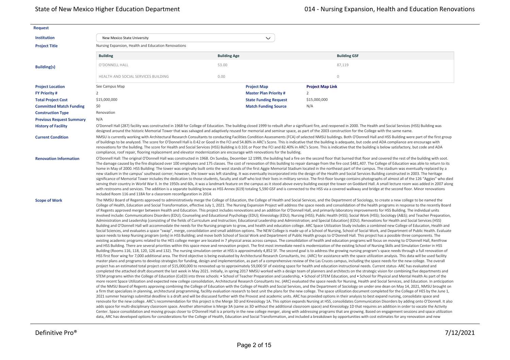| <b>Request</b>                  |                                                                                                                           |                     |                              |                                                                                                                                                                                                                                                                                                                                                                                                                                                                                                                                                                                                                                                                                                                                                                                                                                                                                                                                                                                                                                                                                                                                                                                                                                                                                                                                                                                                                                                                                                                                                                                                                                                                                                                                                                                                                                                                                                                                                                                                                                                                                                                                                                                                                                                                                                                                                                                                                                                                                                                                                                                                                                                                                                                                                                                                                                                                                                                                                                                                                                                                                                                                                                                                                                                                                                                                                                                                                                                                                                                                                                                                                                                                                                                                                                                                                                                                                                                                                                                                                                                                                                                                                                                                                                                                                                                                                                                                                                                                                                                                                                                                                                                                                                                                                                                                                                                                                                                                                                                                                                                                                                                                                                                                                                                                                                    |
|---------------------------------|---------------------------------------------------------------------------------------------------------------------------|---------------------|------------------------------|----------------------------------------------------------------------------------------------------------------------------------------------------------------------------------------------------------------------------------------------------------------------------------------------------------------------------------------------------------------------------------------------------------------------------------------------------------------------------------------------------------------------------------------------------------------------------------------------------------------------------------------------------------------------------------------------------------------------------------------------------------------------------------------------------------------------------------------------------------------------------------------------------------------------------------------------------------------------------------------------------------------------------------------------------------------------------------------------------------------------------------------------------------------------------------------------------------------------------------------------------------------------------------------------------------------------------------------------------------------------------------------------------------------------------------------------------------------------------------------------------------------------------------------------------------------------------------------------------------------------------------------------------------------------------------------------------------------------------------------------------------------------------------------------------------------------------------------------------------------------------------------------------------------------------------------------------------------------------------------------------------------------------------------------------------------------------------------------------------------------------------------------------------------------------------------------------------------------------------------------------------------------------------------------------------------------------------------------------------------------------------------------------------------------------------------------------------------------------------------------------------------------------------------------------------------------------------------------------------------------------------------------------------------------------------------------------------------------------------------------------------------------------------------------------------------------------------------------------------------------------------------------------------------------------------------------------------------------------------------------------------------------------------------------------------------------------------------------------------------------------------------------------------------------------------------------------------------------------------------------------------------------------------------------------------------------------------------------------------------------------------------------------------------------------------------------------------------------------------------------------------------------------------------------------------------------------------------------------------------------------------------------------------------------------------------------------------------------------------------------------------------------------------------------------------------------------------------------------------------------------------------------------------------------------------------------------------------------------------------------------------------------------------------------------------------------------------------------------------------------------------------------------------------------------------------------------------------------------------------------------------------------------------------------------------------------------------------------------------------------------------------------------------------------------------------------------------------------------------------------------------------------------------------------------------------------------------------------------------------------------------------------------------------------------------------------------------------------------------------------------------------------------------------------------------------------------------------------------------------------------------------------------------------------------------------------------------------------------------------------------------------------------------------------------------------------------------------------------------------------------------------------------------------------------------------------------------------------------------------------------------------------------------------------------|
| <b>Institution</b>              | New Mexico State University                                                                                               |                     | $\checkmark$                 |                                                                                                                                                                                                                                                                                                                                                                                                                                                                                                                                                                                                                                                                                                                                                                                                                                                                                                                                                                                                                                                                                                                                                                                                                                                                                                                                                                                                                                                                                                                                                                                                                                                                                                                                                                                                                                                                                                                                                                                                                                                                                                                                                                                                                                                                                                                                                                                                                                                                                                                                                                                                                                                                                                                                                                                                                                                                                                                                                                                                                                                                                                                                                                                                                                                                                                                                                                                                                                                                                                                                                                                                                                                                                                                                                                                                                                                                                                                                                                                                                                                                                                                                                                                                                                                                                                                                                                                                                                                                                                                                                                                                                                                                                                                                                                                                                                                                                                                                                                                                                                                                                                                                                                                                                                                                                                    |
| <b>Project Title</b>            | Nursing Expansion, Health and Education Renovations                                                                       |                     |                              |                                                                                                                                                                                                                                                                                                                                                                                                                                                                                                                                                                                                                                                                                                                                                                                                                                                                                                                                                                                                                                                                                                                                                                                                                                                                                                                                                                                                                                                                                                                                                                                                                                                                                                                                                                                                                                                                                                                                                                                                                                                                                                                                                                                                                                                                                                                                                                                                                                                                                                                                                                                                                                                                                                                                                                                                                                                                                                                                                                                                                                                                                                                                                                                                                                                                                                                                                                                                                                                                                                                                                                                                                                                                                                                                                                                                                                                                                                                                                                                                                                                                                                                                                                                                                                                                                                                                                                                                                                                                                                                                                                                                                                                                                                                                                                                                                                                                                                                                                                                                                                                                                                                                                                                                                                                                                                    |
|                                 | <b>Building</b>                                                                                                           | <b>Building Age</b> |                              | <b>Building GSF</b>                                                                                                                                                                                                                                                                                                                                                                                                                                                                                                                                                                                                                                                                                                                                                                                                                                                                                                                                                                                                                                                                                                                                                                                                                                                                                                                                                                                                                                                                                                                                                                                                                                                                                                                                                                                                                                                                                                                                                                                                                                                                                                                                                                                                                                                                                                                                                                                                                                                                                                                                                                                                                                                                                                                                                                                                                                                                                                                                                                                                                                                                                                                                                                                                                                                                                                                                                                                                                                                                                                                                                                                                                                                                                                                                                                                                                                                                                                                                                                                                                                                                                                                                                                                                                                                                                                                                                                                                                                                                                                                                                                                                                                                                                                                                                                                                                                                                                                                                                                                                                                                                                                                                                                                                                                                                                |
| <b>Building(s)</b>              | O'DONNELL HALL                                                                                                            | 53.00               |                              | 87,119                                                                                                                                                                                                                                                                                                                                                                                                                                                                                                                                                                                                                                                                                                                                                                                                                                                                                                                                                                                                                                                                                                                                                                                                                                                                                                                                                                                                                                                                                                                                                                                                                                                                                                                                                                                                                                                                                                                                                                                                                                                                                                                                                                                                                                                                                                                                                                                                                                                                                                                                                                                                                                                                                                                                                                                                                                                                                                                                                                                                                                                                                                                                                                                                                                                                                                                                                                                                                                                                                                                                                                                                                                                                                                                                                                                                                                                                                                                                                                                                                                                                                                                                                                                                                                                                                                                                                                                                                                                                                                                                                                                                                                                                                                                                                                                                                                                                                                                                                                                                                                                                                                                                                                                                                                                                                             |
|                                 | HEALTH AND SOCIAL SERVICES BUILDING                                                                                       | 0.00                |                              | $\mathbf{0}$                                                                                                                                                                                                                                                                                                                                                                                                                                                                                                                                                                                                                                                                                                                                                                                                                                                                                                                                                                                                                                                                                                                                                                                                                                                                                                                                                                                                                                                                                                                                                                                                                                                                                                                                                                                                                                                                                                                                                                                                                                                                                                                                                                                                                                                                                                                                                                                                                                                                                                                                                                                                                                                                                                                                                                                                                                                                                                                                                                                                                                                                                                                                                                                                                                                                                                                                                                                                                                                                                                                                                                                                                                                                                                                                                                                                                                                                                                                                                                                                                                                                                                                                                                                                                                                                                                                                                                                                                                                                                                                                                                                                                                                                                                                                                                                                                                                                                                                                                                                                                                                                                                                                                                                                                                                                                       |
| <b>Project Location</b>         | See Campus Map                                                                                                            |                     | <b>Project Map</b>           | <b>Project Map Link</b>                                                                                                                                                                                                                                                                                                                                                                                                                                                                                                                                                                                                                                                                                                                                                                                                                                                                                                                                                                                                                                                                                                                                                                                                                                                                                                                                                                                                                                                                                                                                                                                                                                                                                                                                                                                                                                                                                                                                                                                                                                                                                                                                                                                                                                                                                                                                                                                                                                                                                                                                                                                                                                                                                                                                                                                                                                                                                                                                                                                                                                                                                                                                                                                                                                                                                                                                                                                                                                                                                                                                                                                                                                                                                                                                                                                                                                                                                                                                                                                                                                                                                                                                                                                                                                                                                                                                                                                                                                                                                                                                                                                                                                                                                                                                                                                                                                                                                                                                                                                                                                                                                                                                                                                                                                                                            |
| <b>FY Priority #</b>            | $\overline{2}$                                                                                                            |                     | <b>Master Plan Priority#</b> | 2                                                                                                                                                                                                                                                                                                                                                                                                                                                                                                                                                                                                                                                                                                                                                                                                                                                                                                                                                                                                                                                                                                                                                                                                                                                                                                                                                                                                                                                                                                                                                                                                                                                                                                                                                                                                                                                                                                                                                                                                                                                                                                                                                                                                                                                                                                                                                                                                                                                                                                                                                                                                                                                                                                                                                                                                                                                                                                                                                                                                                                                                                                                                                                                                                                                                                                                                                                                                                                                                                                                                                                                                                                                                                                                                                                                                                                                                                                                                                                                                                                                                                                                                                                                                                                                                                                                                                                                                                                                                                                                                                                                                                                                                                                                                                                                                                                                                                                                                                                                                                                                                                                                                                                                                                                                                                                  |
| <b>Total Project Cost</b>       | \$15,000,000                                                                                                              |                     | <b>State Funding Request</b> | \$15,000,000                                                                                                                                                                                                                                                                                                                                                                                                                                                                                                                                                                                                                                                                                                                                                                                                                                                                                                                                                                                                                                                                                                                                                                                                                                                                                                                                                                                                                                                                                                                                                                                                                                                                                                                                                                                                                                                                                                                                                                                                                                                                                                                                                                                                                                                                                                                                                                                                                                                                                                                                                                                                                                                                                                                                                                                                                                                                                                                                                                                                                                                                                                                                                                                                                                                                                                                                                                                                                                                                                                                                                                                                                                                                                                                                                                                                                                                                                                                                                                                                                                                                                                                                                                                                                                                                                                                                                                                                                                                                                                                                                                                                                                                                                                                                                                                                                                                                                                                                                                                                                                                                                                                                                                                                                                                                                       |
| <b>Committed Match Funding</b>  | \$0                                                                                                                       |                     | <b>Match Funding Source</b>  | N/A                                                                                                                                                                                                                                                                                                                                                                                                                                                                                                                                                                                                                                                                                                                                                                                                                                                                                                                                                                                                                                                                                                                                                                                                                                                                                                                                                                                                                                                                                                                                                                                                                                                                                                                                                                                                                                                                                                                                                                                                                                                                                                                                                                                                                                                                                                                                                                                                                                                                                                                                                                                                                                                                                                                                                                                                                                                                                                                                                                                                                                                                                                                                                                                                                                                                                                                                                                                                                                                                                                                                                                                                                                                                                                                                                                                                                                                                                                                                                                                                                                                                                                                                                                                                                                                                                                                                                                                                                                                                                                                                                                                                                                                                                                                                                                                                                                                                                                                                                                                                                                                                                                                                                                                                                                                                                                |
| <b>Construction Type</b>        | Renovation                                                                                                                |                     |                              |                                                                                                                                                                                                                                                                                                                                                                                                                                                                                                                                                                                                                                                                                                                                                                                                                                                                                                                                                                                                                                                                                                                                                                                                                                                                                                                                                                                                                                                                                                                                                                                                                                                                                                                                                                                                                                                                                                                                                                                                                                                                                                                                                                                                                                                                                                                                                                                                                                                                                                                                                                                                                                                                                                                                                                                                                                                                                                                                                                                                                                                                                                                                                                                                                                                                                                                                                                                                                                                                                                                                                                                                                                                                                                                                                                                                                                                                                                                                                                                                                                                                                                                                                                                                                                                                                                                                                                                                                                                                                                                                                                                                                                                                                                                                                                                                                                                                                                                                                                                                                                                                                                                                                                                                                                                                                                    |
| <b>Previous Request Summary</b> | N/A                                                                                                                       |                     |                              |                                                                                                                                                                                                                                                                                                                                                                                                                                                                                                                                                                                                                                                                                                                                                                                                                                                                                                                                                                                                                                                                                                                                                                                                                                                                                                                                                                                                                                                                                                                                                                                                                                                                                                                                                                                                                                                                                                                                                                                                                                                                                                                                                                                                                                                                                                                                                                                                                                                                                                                                                                                                                                                                                                                                                                                                                                                                                                                                                                                                                                                                                                                                                                                                                                                                                                                                                                                                                                                                                                                                                                                                                                                                                                                                                                                                                                                                                                                                                                                                                                                                                                                                                                                                                                                                                                                                                                                                                                                                                                                                                                                                                                                                                                                                                                                                                                                                                                                                                                                                                                                                                                                                                                                                                                                                                                    |
| <b>History of Facility</b>      |                                                                                                                           |                     |                              | O'Donnell Hall (287) facility was constructed in 1968 for College of Education. The building closed 1999 to rebuilt after a significant fire, and reopened in 2000. The Health and Social Services (HSS) Building was<br>designed around the historic Memorial Tower that was salvaged and adaptively reused for memorial and seminar space, as part of the 2003 construction for the College with the same name.                                                                                                                                                                                                                                                                                                                                                                                                                                                                                                                                                                                                                                                                                                                                                                                                                                                                                                                                                                                                                                                                                                                                                                                                                                                                                                                                                                                                                                                                                                                                                                                                                                                                                                                                                                                                                                                                                                                                                                                                                                                                                                                                                                                                                                                                                                                                                                                                                                                                                                                                                                                                                                                                                                                                                                                                                                                                                                                                                                                                                                                                                                                                                                                                                                                                                                                                                                                                                                                                                                                                                                                                                                                                                                                                                                                                                                                                                                                                                                                                                                                                                                                                                                                                                                                                                                                                                                                                                                                                                                                                                                                                                                                                                                                                                                                                                                                                                  |
| <b>Current Condition</b>        | compliance, roof repair, flooring replacement and elevator modernization are encourage with renovations for the building. |                     |                              | NMSU is currently working with Architectural Research Consultants to conducting Facilities Condition Assessments (FCA) of selected NMSU buildings. Both O'Donnell Hall and HSS Building were part of the first group<br>of buildings to be analyzed. The score for O'Donnell Hall is 0.42 or Good in the FCI and 54.80% in ARC's Score. This is indicative that the building is adequate, but code and ADA compliance are encourage with<br>renovations for the building. The score for Health and Social Services (HSS) Building is 0.101 or Poor the FCI and 82.40% in ARC's Score. This is indicative that the building is below satisfactory, but code and ADA                                                                                                                                                                                                                                                                                                                                                                                                                                                                                                                                                                                                                                                                                                                                                                                                                                                                                                                                                                                                                                                                                                                                                                                                                                                                                                                                                                                                                                                                                                                                                                                                                                                                                                                                                                                                                                                                                                                                                                                                                                                                                                                                                                                                                                                                                                                                                                                                                                                                                                                                                                                                                                                                                                                                                                                                                                                                                                                                                                                                                                                                                                                                                                                                                                                                                                                                                                                                                                                                                                                                                                                                                                                                                                                                                                                                                                                                                                                                                                                                                                                                                                                                                                                                                                                                                                                                                                                                                                                                                                                                                                                                                                 |
|                                 | included Room 116 and 118A for a classroom reconfiguration in 2014.                                                       |                     |                              | The damage caused by the fire displaced over 100 employees and 175 classes. The cost of renovation of this building to repair damage from the fire cost \$481,407. The College of Education was able to return to its<br>home in May of 2000. HSS Building: The tower was originally built onto the west stands of the first Aggie Memorial Stadium located in the northeast part of the campus. The stadium was eventually replaced by a<br>new stadium in the campus' southeast corner; however, the tower was left standing. It was eventually incorporated into the design of the Health and Social Services Building constructed in 2003. The heritage<br>significance of Memorial Tower includes the dedication to those students, faculty and staff who lost their lives in military service. The first-floor lounge contains photographs of almost all of the 126 "Aggies" who died<br>serving their country in World War II. In the 1950s and 60s, it was a landmark feature on the campus as it stood above every building except the tower on Goddard Hall. A small lecture room was added in 2007 along<br>with restrooms and services. The addition is a separate building know as HSS Annex (619) totaling 5,590 GSF and is connected to the HSS via a covered walkway and bridge at the second floor. Minor renovations                                                                                                                                                                                                                                                                                                                                                                                                                                                                                                                                                                                                                                                                                                                                                                                                                                                                                                                                                                                                                                                                                                                                                                                                                                                                                                                                                                                                                                                                                                                                                                                                                                                                                                                                                                                                                                                                                                                                                                                                                                                                                                                                                                                                                                                                                                                                                                                                                                                                                                                                                                                                                                                                                                                                                                                                                                                                                                                                                                                                                                                                                                                                                                                                                                                                                                                                                                                                                                                                                                                                                                                                                                                                                                                                                                                                                                                                                                                                                             |
| <b>Scope of Work</b>            |                                                                                                                           |                     |                              | The NMSU Board of Regents approved to administratively merge the College of Education, the College of Health and Social Services, and the Department of Sociology, to create a new college to be named the<br>College of Health, Education and Social Transformation, effective July 1, 2021. The Nursing Expansion Project will address the space needs and consolidation of the health programs in response to the recently Board<br>of Regents approved merger between Health and Education. This project includes renovations and an addition for O'Donnell Hall, and primarily laboratory improvements for HSS Building. The individual units<br>involved include: Communications Disorders (EDU); Counseling and Educational Psychology (EDU); Kinesiology (EDU); Nursing (HSS); Public Health (HSS); Social Work (HSS); Sociology (A&S); and Teacher Preparation,<br>Administration and Leadership [consisting of the fields of Curriculum and Instruction; Educational Leadership and Administration; and Special Education] (EDU). Renovations for Health and Social Services (HSS)<br>Building and O'Donnell Hall will accommodate the needs for the Nursing program to grow, and health and education college. ARC Space Utilization Study includes a combined new College of Education, Health and<br>Social Sciences, and evaluates a space "swap", merge, consolidation and small addition options. The NEW College is made up of a School of Nursing, School of Social Work, and Department of Public Health. Evaluate<br>space needs to keep Nursing program (only) in HSS Building; and move both School of Social Work and Department of Public Health groups to O'Donnell Hall. This project has a possible three components. The<br>existing academic programs related to the HES college merger are located in 7 physical areas across campus. The consolidation of health and education programs will focus on moving to O'Donnell Hall, Rentfrow<br>and HSS Building. There are several priorities within this space move and renovation project. The first most immediate need is modernization of the existing School of Nursing Skills and Simulation Center in HSS<br>Building (Rooms 116, 118, 120, 126 and 132). The nursing simulation center at HSS is approximately 4,852 SF. The second goal is to address the growing nursing program's space needs through a full renovation of<br>HSS first floor wing for 7,000 additional area. The third objective is being evaluated by Architectural Research Consultants, Inc. (ARC) for assistance with the space utilization analysis. This data will be used facility<br>master plans and programs to develop strategies for funding, design and implementation, as part of a comprehensive review of the Las Cruces campus, including the space needs for the new college. The overall<br>project has an estimated total project cost of \$15,000,000 to renovated up to approximately 59,000 SF of existing space for health and education instructional needs. Current status-ARC has evaluated and<br>completed the attached draft document the last week in May 2021. Initially, in spring 2017 NMSU worked with a design team of planners and architects on the strategic vision for combining five departments and<br>STEM programs within the College of Education (CoED) into three schools: . School of Teacher Preparation and Leadership, . School of STEM Education, and . School for Physical and Mental Health As part of the<br>more recent Space Utilization and expected new college consolidation, Architectural Research Consultants Inc. (ARC) evaluated the space needs for Nursing, Health and Social Services, and Education. In anticipation<br>of the NMSU Board of Regents approving combining the College of Education with the College of Health and Social Services, and the Department of Sociology on under one dean on May 14, 2021, NMSU brought on<br>a firm that specializes in planning, architectural programming, facility evaluation research to best unit the plans for the new college. The space utilization document completed for the College of HES by the June 1,<br>2021 summer hearings submittal deadline is a draft and will be discussed further with the Provost and academic units. ARC has provided options in their analysis to best expand nursing, consolidate space and<br>renovate for the new college. ARC's recommendation for this project is the Merge 3D and Kinesiology 1A. This option expands Nursing at HSS, consolidates Communication Disorders by adding onto O'Donnell. It also<br>adds space for multi-disciplinary classroom space. Another alternative is Merge 3A (same as 3D without the additional classroom space) and Kinesiology 1D that requires an addition in order to vacate the Activity<br>Center. Space consolidation and moving groups closer to O'Donnell Hall is a priority in the new college merger, along with addressing programs that are growing. Based on engagement sessions and space utilization<br>data, ARC has developed options for considerations for the College of Health, Education and Social Transformation, and included a breakdown by opportunities with cost estimates for any renovation and new |

construction associated with these moves and merges.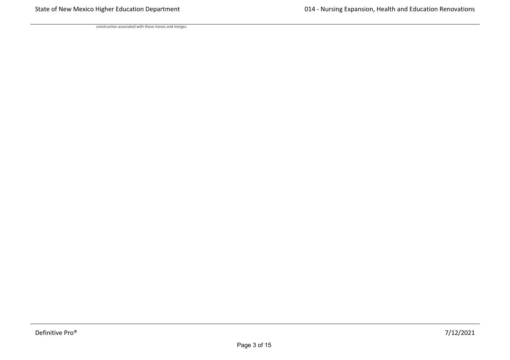construction associated with these moves and merges.

needs of new programs and new degrees currently in the approval stages. We will start a new PhD in public health fall 2022, a new concentration in the nurse practitioner program in 2022, a new certified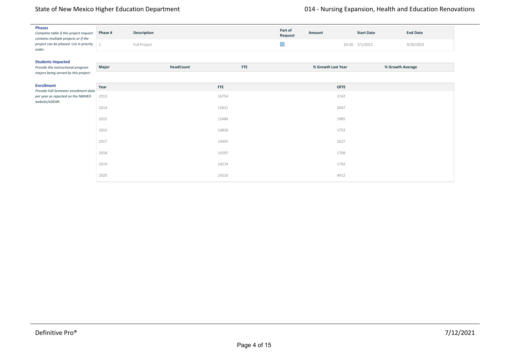| <b>Phases</b>                                                                  | Phase # |              |            | Part of | Amount             | <b>Start Date</b> | <b>End Date</b> |
|--------------------------------------------------------------------------------|---------|--------------|------------|---------|--------------------|-------------------|-----------------|
| Complete table if this project request<br>contains multiple projects or if the |         | Description  |            | Request |                    |                   |                 |
| project can be phased. List in priority<br>order:                              |         | Full Project |            | ×       |                    | \$0.00 7/1/2023   | 9/30/2025       |
|                                                                                |         |              |            |         |                    |                   |                 |
| <b>Students Impacted</b><br>Provide the instructional program                  | Major   | HeadCount    | <b>FTE</b> |         | % Growth Last Year | % Growth Average  |                 |
| majors being served by this project:                                           |         |              |            |         |                    |                   |                 |
| <b>Enrollment</b><br>Provide Fall Semester enrollment data                     | Year    |              | <b>FTE</b> |         | <b>OFTE</b>        |                   |                 |
| per year as reported on the NMHED<br>website/eDEAR:                            | 2013    |              | 16754      |         | 2142               |                   |                 |
|                                                                                | 2014    |              | 15821      |         | 2047               |                   |                 |
|                                                                                | 2015    |              | 15484      |         | 1985               |                   |                 |
|                                                                                | 2016    |              | 14826      |         | 1753               |                   |                 |
|                                                                                | 2017    |              | 14445      |         | 1627               |                   |                 |
|                                                                                | 2018    |              | 14297      |         | 1708               |                   |                 |
|                                                                                | 2019    |              | 14274      |         | 1792               |                   |                 |
|                                                                                | 2020    |              | 14216      |         | 4912               |                   |                 |

project allows for this significant growth in our graduate programs. Our growth plans account for 90% retention, as this has been our historical rate due to the professional nature of the degrees and high incentive to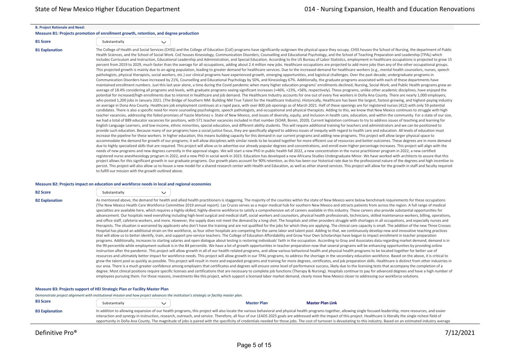#### **B. Project Rationale and Need:**

#### **Measure B1: Projects promotion of enrollment growth, retention, and degree production**

| <b>B1 Score</b> | Substantially |  |
|-----------------|---------------|--|

B1 Explanation The College of Health and Social Services (CHSS) and the College of Education (CoE) programs have significantly outgrown the physical space they occupy. CHSS houses the School of Nursing, the department of P Health Sciences, and the School of Social Work. CoE houses Kinesiology, Communication Disorders, Counselling and Educational Psychology, and the School of Teaching Preparation and Leadership (TPAL) which includes Curriculum and Instruction, Educational Leadership and Administration, and Special Education. According to the US Bureau of Labor Statistics, employment in healthcare occupations is projected to grow 15 percent from 2019 to 2029, much faster than the average for all occupations, adding about 2.4 million new jobs. Healthcare occupations are projected to add more jobs than any of the other occupational groups. This projected growth is mainly due to an aging population, leading to greater demand for healthcare services. Due to the increased demand for healthcare workers (e.g., mental health counselors, nurses, speech pathologists, physical therapists, social workers, etc.) our clinical programs have experienced growth, emerging opportunities, and logistical challenges. Over the past decade, undergraduate programs in Communication Disorders have increased by 21%, Counselling and Educational Psychology by 50%, and Kinesiology 67%. Additionally, the graduate programs associated with each of these departments have maintained enrollment numbers. Just this last year alone, a time during the Covid pandemic when many higher education programs' enrollments declined. Nursing, Social Work, and Public Health programs grew an average of 18.4% considering all programs and levels, with graduate programs seeing significant increases (+46%, +23%, +58%, respectively). These programs, unlike other academic disciplines, have enjoyed the potential for increased/high enrollments due to interest in healthcare and job demand. The Healthcare Industry accounts for one out of every five workers in Doña Ana County. There are nearly 1,000 employers, who posted 1,200 jobs in January 2021. (The Bridge of Southern NM: Building NM True Talent for the Healthcare Industry). Historically, Healthcare has been the largest, fastest-growing, and highest-paying industry on average in Dona Ana County. Healthcare job employment continues at a rapid pace, with over 800 job openings as of March 2021. Half of these openings are for registered nurses (412) with only 59 potential candidates. There is also a specific need for more counseling psychologists, speech pathologists, and occupational and physical therapists. Adding to this, we know that New Mexico continues to struggle with high teacher vacancies, addressing the failed promises of Yazzie Martinez v. State of New Mexico, and issues of diversity, equity, and inclusion in health care, education, and within the community. For a state of our size, we had a total of 889 educator vacancies for positions, with 571 teacher vacancies included in that number (SOAR, Boren, 2020). Current legislation continues to try to address issues of teaching and learning for English Language Learners, and low-income, ethnic minorities, special education, and different ability students. This will require additional training for teachers and administrators and we can be positioned to provide such education. Because many of our programs have a social justice focus, they are specifically aligned to address issues of inequity with regard to health care and education. All levels of education must increase the pipeline for these workers. In higher education, this means building capacity for this demand in our current programs and adding new programs. This project will allow larger physical space to accommodate the demand for growth of our programs; it will allow disciplines with similar needs to be located together for more efficient use of resources and better outcomes. These degrees are in more demand due to highly specialized skills that are required. This project will allow us to advertise our already popular degrees and concentrations, and enroll even higher percentage increases. This project will align with the needs of new programs and new degrees currently in the approval stages. We will start a new PhD in public health fall 2022, a new concentration in the nurse practitioner program in 2022, a new certified registered nurse anesthesiology program in 2022, and a new PhD in social work in 2023. Education has developed a new Africana Studies Undergraduate Minor. We have worked with architects to assure that this project allows for this significant growth in our graduate programs. Our growth plans account for 90% retention, as this has been our historical rate due to the professional nature of the degrees and high incentive to persist. This project will also allow us to house a new model for a shared research center with Health and Education, as well as other shared services. This project will allow for the growth in staff and faculty required to fulfill our mission with the growth outlined above.

#### **Measure B2: Projects impact on education and workforce needs in local and regional economies**

| <b>B2 Score</b>       | Substantially | $\checkmark$ |                                                                                                                                                                                                                                                                                                                                                                                                                                                                                                                                                                                                                                                                                                                                                                                                                                                                                                                                                                                                                                                                                                                                                                                                                                                                                                                                                                                                                                                                                                                                                                                                                                                                                                                                                                                                                                                                                                                                                                                                                                                                                                                                                                                                                                                                                                                                                                                                                                                                                                                                                                                                                                                                                                                                                                                                                                                                                                                                                                                                                                                                                                                                                                                                                                                                                                                                                                                                                                                                                                                                                     |
|-----------------------|---------------|--------------|-----------------------------------------------------------------------------------------------------------------------------------------------------------------------------------------------------------------------------------------------------------------------------------------------------------------------------------------------------------------------------------------------------------------------------------------------------------------------------------------------------------------------------------------------------------------------------------------------------------------------------------------------------------------------------------------------------------------------------------------------------------------------------------------------------------------------------------------------------------------------------------------------------------------------------------------------------------------------------------------------------------------------------------------------------------------------------------------------------------------------------------------------------------------------------------------------------------------------------------------------------------------------------------------------------------------------------------------------------------------------------------------------------------------------------------------------------------------------------------------------------------------------------------------------------------------------------------------------------------------------------------------------------------------------------------------------------------------------------------------------------------------------------------------------------------------------------------------------------------------------------------------------------------------------------------------------------------------------------------------------------------------------------------------------------------------------------------------------------------------------------------------------------------------------------------------------------------------------------------------------------------------------------------------------------------------------------------------------------------------------------------------------------------------------------------------------------------------------------------------------------------------------------------------------------------------------------------------------------------------------------------------------------------------------------------------------------------------------------------------------------------------------------------------------------------------------------------------------------------------------------------------------------------------------------------------------------------------------------------------------------------------------------------------------------------------------------------------------------------------------------------------------------------------------------------------------------------------------------------------------------------------------------------------------------------------------------------------------------------------------------------------------------------------------------------------------------------------------------------------------------------------------------------------------------|
| <b>B2 Explanation</b> |               |              | As mentioned above, the demand for health and allied health practitioners is staggering. The majority of the counties within the state of New Mexico were below benchmark requirements for these occupations<br>(The New Mexico Health Care Workforce Committee 2019 annual report). Las Cruces serves as a major medical hub for southern New Mexico and attracts patients from across the region. A full range of medical<br>specialties are available here, which requires a highly-skilled, highly-diverse workforce to satisfy a comprehensive set of careers available in this industry. These careers also provide substantial opportunities for<br>advancement. Our hospitals need everything including high-level surgical and medical staff, social workers and counselors, physical health professionals, technicians, skilled maintenance workers, billing, operations,<br>and office staff, cafeteria workers, and more. However, the supply does not meet the demand by a long shot. The hospitals and other providers struggle with shortages in all occupations, and especially nurses and<br>therapists. The situation is worsened by applicants who don't have the training and are not qualified for the jobs for which they are applying. The clinical care capacity is small. The addition of the new Three Crosses<br>Hospital has placed an additional strain on the workforce, as four other hospitals are competing for the same labor and talent pool. Adding to that, we continuously develop new and innovative teaching practices<br>that will allow us to better identify, train, and support pre-service teachers. The College of Education Affordability and Grow Your Own Scholarships have begun to impact enrollment in teacher preparation<br>programs. Additionally, increases to starting salaries and open dialogue about testing is restoring individuals' faith in the occupation. According to Gray and Associates data regarding market demand, demand is in<br>the 99 percentile while employment outlook is in the 84 percentile. We have a lot of growth opportunities in teacher preparation now that several programs will be enhancing opportunities by providing online<br>instruction after the pandemic. This project will allow growth in all of our health-related programs, and allow various behavioral health and physical health programs to be located together for better use of<br>resources and ultimately better impact for workforce needs. This project will allow growth in our TPAL programs, to address the shortage in the secondary education workforce. Based on the above, it is critical to<br>grow the talent pool as quickly as possible. This project will result in more and expanded programs and training for more degrees, certificates, and job preparation skills. Healthcare is distinct from other industries in<br>our area. There is a much greater confidence among employers that certificates and degrees will ensure some level of performance success, likely due to the licensing tests that accompany the completion of a<br>degree. Most clinical positions require specific licenses and certifications that are necessary to complete job functions (Therapy & Nursing). Hospitals continue to pay for advanced degrees and have a high number of<br>employees pursuing them. For these reasons, investments like this project, which support a licensed labor market demand, clearly move New Mexico closer to addressing our workforce solutions. |

#### **Measure B3: Projects support of HEI Strategic Plan or Facility Master Plan**

*Demonstrate project alignment with institutional mission and how project advances the institution's strategic or facility master plan.*

| <b>B3 Score</b>       | Substantially | <b>Master Plan</b> | <b>Master Plan Link</b>                                                                                                                                                                                                                                                                                                                                                                                                                         |
|-----------------------|---------------|--------------------|-------------------------------------------------------------------------------------------------------------------------------------------------------------------------------------------------------------------------------------------------------------------------------------------------------------------------------------------------------------------------------------------------------------------------------------------------|
| <b>B3 Explanation</b> |               |                    | In addition to allowing expansion of our health programs, this project will also locate the various behavioral and physical health programs together, allowing single focused leadership, more resources, and easier<br>interaction and synergy in instruction, research, outreach, and service. Therefore, all four of our LEADS 2025 goals are addressed with the impact of this project. Healthcare is literally the single richest field of |
|                       |               |                    | opportunity in Doña Ana County. The magnitude of jobs is paired with the specificity of credentials needed for those jobs. The cost of turnover is devastating to this industry. Based on an estimated industry average                                                                                                                                                                                                                         |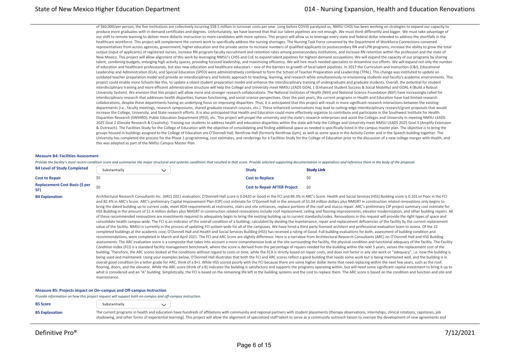of \$60,000/per person, the five institutions are collectively incurring \$58.5 million in turnover costs per year. Long before COVID paralyzed us, NMSU CHSS has been working on strategies to expand our capacity to produce more graduates with in-demand certificates and degrees. Unfortunately, we have learned that that our talent pipelines are not enough. We must think differently and bigger. We must take advantage of our shift to remote learning to deliver more didactic instruction to more candidates with more options. This project will allow us to leverage every state and federal dollar intended to address the shortfalls in the healthcare workforce. This project will complement the current work to specifically address the nursing shortages. The Nursing Task Force convened by the Department of Workforce Connections convened representatives from across agencies, government, higher education and the private sector to increase numbers of qualified applicants to postsecondary RN and LPN programs, increase the ability to grow the total output (input of applicants) of registered nurses, increase RN program faculty recruitment and retention rates among postsecondary institutions, and increase RN retention within the profession and the state of New Mexico. This project will allow alignment of this work by leveraging NMSU's CHSS and CoE to expand talent pipelines for highest-demand occupations. We will expand the capacity of our programs by sharing talent, combining budgets, enlarging high activity spaces, providing focused leadership, and maximizing efficiency. We will hire much needed specialists to streamline our efforts. We will expand not only the number of education and healthcare professionals, but also new education and healthcare educators – one of the barriers to growth of local talent pipelines. In 2017 the Curriculum and Instruction (C&I), Educational Leadership and Administration (ELA), and Special Education (SPED) were administratively combined to form the School of Teacher Preparation and Leadership (TPAL). This change was instituted to update an outdated teacher preparation model and provide an interdisciplinary and holistic approach to teaching, learning, and research while simultaneously re-envisioning students and faculty's academic environments. This project could enable more Schools like this, to update a siloed student preparation model and enhance the interdisciplinary training of undergraduate and graduate students. Overall, the potential for student interdisciplinary training and more efficient administrative structure will help the College and University meet NMSU LEADS GOAL 1 (Enhanced Student Success & Social Mobility) and GOAL 4 (Build a Robust University System). We envision that this project will allow more and stronger research collaborations. The National Institutes of Health (NIH) and National Science Foundation (NSF) have increasingly called for interdisciplinary research that addresses health disparities, human functioning, and social science perspectives. Over the past years, the current programs in Health and Education have had limited research collaborations, despite these departments having an underlying focus on improving disparities. Thus, it is anticipated that this project will result in more significant research interactions between the existing departments (i.e., faculty meetings, research symposiums, shared graduate research courses, etc.). These enhanced conversations may lead to cutting-edge interdisciplinary research/grant proposals that would increase the College, University, and State research efforts. It is also anticipated that Health and Education could more effectively organize to contribute and participate in the Southwest Institute for Health Disparities Research (SWIHRD), Public Education Department (PED), etc. This project will propel the university and the state's research enterprises and assist the Colleges and University in meeting NMSU LEADS 2025 Goal 2 (Elevate Research & Creativity). Training our students to address health and education disparities within the state will help the College and University meet NMSU LEADS 2025 Goal 3 (Amplify Extension & Outreach). The Facilities Study for the College of Education with the objective of consolidating and finding additional space as needed is specifically listed in the campus master plan. The objective is to bring the groups housed in buildings assigned to the College of Education are O'Donnell Hall, Rentfrow Hall (formerly Rentfrow Gym), as well as some space in the Activity Center and in the Speech building together. The University has completed the process for the Phase 1 programming, cost estimates, and renderings for a Facilities Study for the College of Education prior to the discussion of a new college merger with Health, and this was adopted as part of the NMSU Campus Master Plan.

#### **Measure B4: Facilities Assessment**

Provide the facility's most recent condition score and summarize the major structural and systems conditions that resulted in that score. Provide selected supporting documentation in appendices and reference them in the bo

| <b>B4 Level of Study Completed</b>    | Substantially | <b>Study</b>                        | <b>Study Link</b> |
|---------------------------------------|---------------|-------------------------------------|-------------------|
| <b>Cost to Repair</b>                 |               | <b>Cost to Replace</b>              |                   |
| Replacement Cost Basis (\$ per<br>SF) |               | <b>Cost to Repair AFTER Project</b> | \$0               |

B4 Explanation Monitectural Research Consultants Inc. (ARC) 2021 evaluation: O'Donnell Hall score is 0.0420 or Good in the FCI and 89.3% in ARC's Score. Health and Social Services (HSS) Building score is 0.101 or Poor in t and 82.4% in ARC's Score. ARC's preliminary Capital Improvement Plan (CIP) cost estimate for O'Donnell Hall in the amount of \$1.04 million dollars plus NMGRT in construction related renovations only begins to bring the dated building up to current code, meet ADA requirements at restrooms, stairs and site entrances, replace portions of the roof and stucco repair. ARC's preliminary CIP project summary cost estimate for HSS Building in the amount of \$1.4 million dollars plus NMGRT in construction related renovations include roof replacement, ceiling and flooring improvements, elevator modernization, and other building repairs. All of these recommended renovations are investments required to adequately begin to bring the existing building up to current standards/codes. Renovations in this request will provide the right types of space and consolidate health campus-wide. The FCI is an indicator of the overall condition of a building; calculated by dividing the maintenance, repair and replacement deficiencies of the facility by the current replacement value of the facility. NMSU is currently in the process of updating FCI system-wide for all of the campuses. We have hired a third party licensed architect and professional evaluation team to assess. Of the 22 completed buildings at the academic core, O'Donnell Hall and Health and Social Services Building (HSS) has received a rating of Good. Full building evaluations for both, assessment of building condition and recommendations, were completed in March and April 2021. The FCI and ARC Score are slightly difference. Here is a narrative from Architectural Research Consultants (ARC) on O'Donnell Hall and HSS Building assessments: The ARC evaluation score is a composite that takes into account a more comprehensive look at the site surrounding the facility, the physical condition and functional adequacy of the facility. The Facility. Condition Index (FCI) is a standard facility management benchmark, where the score is derived from the percentage of repairs needed for the building within the next 5 years, verses the replacement cost of the building. Therefore, the ARC scores looked at the conditions without regard to costs or time, while the FCA is strictly based on repair costs, and does not factor in any site work or "adequacy", i.e. how the building is being used and maintained. Using your examples below, O'Donnell Hall illustrates that both the FCI and ARC scores reflect a good building that needs some work but is being maintained well, and the building is in overall good condition (in a letter grade for ARC, think of a B+). While HSS scored poorly with the FCI because there are some higher dollar items that need replacing within the next few years, such as the roof, flooring, doors, and the elevator. While the ARC score (think of a B) indicates the building is satisfactory and supports the programs operating within, but will need some significant capital investment to bring it up to what is considered and an "A" building. Simplistically, the FCI is based on the remaining life left in the building systems and the cost to replace them. The ARC score is based on the condition and function and site and maintenance.

#### **Measure B5: Projects impact on On–campus and Off‐campus Instruction**

*Provide information on how this project request will support both on‐campus and off‐campus instruction.*

| <b>B5 Score</b> | Substantially                                                                      |  |
|-----------------|------------------------------------------------------------------------------------|--|
|                 |                                                                                    |  |
| _______         | The communication of the communication of the communication of the contract of the |  |

B5 Explanation The current programs in health and education have hundreds of affiliations with community and regional partners with student placements (therapy observations, internships, clinical rotations, capstones, job shadowing, and other forms of experiential learning). This project will allow the alignment of specialized staff talent to serve as a community outreach liaison to oversee the development of new agreements and

maintenance of all agreements. One major barrier for growth in our programs has been the number of clinical sites available. This project will position us to dedicate necessary staff effort to maximize these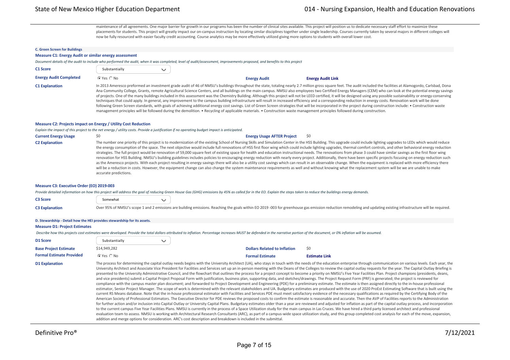maintenance of all agreements. One major barrier for growth in our programs has been the number of clinical sites available. This project will position us to dedicate necessary staff effort to maximize these placements for students. This project will greatly impact our on-campus instruction by locating similar disciplines together under single leadership. Courses currently taken by several majors in different colleges will now be fully resourced with easier faculty credit accounting. Course analytics may be more effectively utilized giving more options to students with overall lower cost.

#### **C. Green Screen for Buildings**

#### **Measure C1: Energy Audit or similar energy assessment**

*Document details of the audit to include who performed the audit, when it was completed, level of audit/assessment, improvements proposed, and benefits to this project*

| C1 Score                      | Substantially  |                                                                                                                                                                             |                          |                                                                                                                                                                                                                                                                                                                                                                                                                                                                                                                                                                                                                                                                                                                                                                                                                                                                                                                                                                                                                                                                                                                |
|-------------------------------|----------------|-----------------------------------------------------------------------------------------------------------------------------------------------------------------------------|--------------------------|----------------------------------------------------------------------------------------------------------------------------------------------------------------------------------------------------------------------------------------------------------------------------------------------------------------------------------------------------------------------------------------------------------------------------------------------------------------------------------------------------------------------------------------------------------------------------------------------------------------------------------------------------------------------------------------------------------------------------------------------------------------------------------------------------------------------------------------------------------------------------------------------------------------------------------------------------------------------------------------------------------------------------------------------------------------------------------------------------------------|
| <b>Energy Audit Completed</b> | $C$ Yes $C$ No | <b>Energy Audit</b>                                                                                                                                                         | <b>Energy Audit Link</b> |                                                                                                                                                                                                                                                                                                                                                                                                                                                                                                                                                                                                                                                                                                                                                                                                                                                                                                                                                                                                                                                                                                                |
| <b>C1 Explanation</b>         |                | management principles will be followed during the demolition. • Recycling of applicable materials. • Construction waste management principles followed during construction. |                          | In 2013 Ameresco preformed an investment grade audit of 46 of NMSU's buildings throughout the state, totaling nearly 2.7 million gross square feet. The audit included the facilities at Alamogordo, Carlsbad, Dona<br>Ana Community College, Grants, remote Agricultural Science Centers, and all buildings on the main campus. NMSU also employees two Certified Energy Managers (CEM) who can look at the potential energy savings<br>of projects. One of the many buildings included in this assessment was the Chemistry Building. Although this project will not be LEED certified, it will be designed using any possible sustainability or energy-conserving<br>techniques that could apply. In general, any improvement to the campus building infrastructure will result in increased efficiency and a corresponding reduction in energy costs. Renovation work will be done<br>following Green Screen standards, with goals of achieving additional energy cost savings. List of Green Screen strategies that will be incorporated in the project during construction include: • Construction waste |

#### **Measure C2: Projects impact on Energy / Utility Cost Reduction**

*Explain the impact of this project to the net energy / utility costs. Provide a justification if no operating budget impact is anticipated.*

**Current Energy Usage**  $\frac{1}{20}$  $\frac{1}{20}$  $\frac{1}{20}$  $\frac{1}{20}$  $\frac{1}{20}$  $\frac{1}{20}$  $\frac{1}{20}$  $\frac{1}{20}$  $\frac{1}{20}$  $\frac{1}{20}$  $\frac{1}{20}$  $\frac{1}{20}$  $\frac{1}{20}$  $\frac{1}{20}$  $\frac{1}{20}$  $\frac{1}{20}$  $\frac{1}{20}$  $\frac{1}{20}$  **\** C2 Explanation The number one priority of this project is to modernization of the existing School of Nursing Skills and Simulation Center in the HSS Building. This upgrade could include lighting upgrades to LEDs which woul the energy consumption of the space. The next objective would include full renovations of HSS first floor wing which could include lighting upgrades, thermal comfort controls, and other behavioral energy reduction strategies. The full project would be renovation of 59,000 square feet of existing space for health and education instructional needs. The renovations from phase 3 could have similar savings as the first floor wing renovation for HSS Building. NMSU's building guidelines includes policies to encouraging energy reduction with nearly every project. Additionally, there have been specific projects focusing on energy reduction such as the Ameresco projects. With each project resulting in energy savings there will also be a utility cost savings which can result in an observable change. When the equipment is replaced with more efficiency there will be a reduction in costs. However, the equipment change can also change the system maintenance requirements as well and without knowing what the replacement system will be we are unable to make accurate predictions.

#### **Measure C3: Executive Order (EO) 2019‐003**

#### *Provide detailed information on how this project will address the goal of reducing Green House Gas (GHG) emissions by 45% as called for in the EO. Explain the steps taken to reduce the buildings energy demands.*

addition and merge options for consideration. ARC's cost description and breakdown is included in the submittal.

| <b>C3 Score</b>       | Somewhat |                                                                                                                                                                                                                  |
|-----------------------|----------|------------------------------------------------------------------------------------------------------------------------------------------------------------------------------------------------------------------|
| <b>C3 Explanation</b> |          | Over 95% of NMSU's scope 1 and 2 emissions are building emissions. Reaching the goals within EO 2019-003 for greenhouse gas emission reduction remodeling and updating existing infrastructure will be required. |

| D. Stewardship - Detail how the HEI provides stewardship for its assets. |                      |              |                                     |                                                                                                                                                                                                                                                                                                                                                                                                                                                                                                                                                                                                                                                                                                                                                                                                                                                                                                                                                                                                                                                                                                                                                                                                                                                                                                                                                                                                                                                                                                                                                                                                                                                                                                                                                                                                                                                                                                                                                                                                                                                                                                                                                                                                                                                                                                                                                                                                                                                                 |
|--------------------------------------------------------------------------|----------------------|--------------|-------------------------------------|-----------------------------------------------------------------------------------------------------------------------------------------------------------------------------------------------------------------------------------------------------------------------------------------------------------------------------------------------------------------------------------------------------------------------------------------------------------------------------------------------------------------------------------------------------------------------------------------------------------------------------------------------------------------------------------------------------------------------------------------------------------------------------------------------------------------------------------------------------------------------------------------------------------------------------------------------------------------------------------------------------------------------------------------------------------------------------------------------------------------------------------------------------------------------------------------------------------------------------------------------------------------------------------------------------------------------------------------------------------------------------------------------------------------------------------------------------------------------------------------------------------------------------------------------------------------------------------------------------------------------------------------------------------------------------------------------------------------------------------------------------------------------------------------------------------------------------------------------------------------------------------------------------------------------------------------------------------------------------------------------------------------------------------------------------------------------------------------------------------------------------------------------------------------------------------------------------------------------------------------------------------------------------------------------------------------------------------------------------------------------------------------------------------------------------------------------------------------|
| <b>Measure D1: Project Estimates</b>                                     |                      |              |                                     |                                                                                                                                                                                                                                                                                                                                                                                                                                                                                                                                                                                                                                                                                                                                                                                                                                                                                                                                                                                                                                                                                                                                                                                                                                                                                                                                                                                                                                                                                                                                                                                                                                                                                                                                                                                                                                                                                                                                                                                                                                                                                                                                                                                                                                                                                                                                                                                                                                                                 |
|                                                                          |                      |              |                                     | Describe how this projects cost estimates were developed. Provide the total dollars attributed to inflation. Percentage increases MUST be defended in the narrative portion of the document, or 0% inflation will be assumed.                                                                                                                                                                                                                                                                                                                                                                                                                                                                                                                                                                                                                                                                                                                                                                                                                                                                                                                                                                                                                                                                                                                                                                                                                                                                                                                                                                                                                                                                                                                                                                                                                                                                                                                                                                                                                                                                                                                                                                                                                                                                                                                                                                                                                                   |
| D1 Score                                                                 | Substantially        | $\checkmark$ |                                     |                                                                                                                                                                                                                                                                                                                                                                                                                                                                                                                                                                                                                                                                                                                                                                                                                                                                                                                                                                                                                                                                                                                                                                                                                                                                                                                                                                                                                                                                                                                                                                                                                                                                                                                                                                                                                                                                                                                                                                                                                                                                                                                                                                                                                                                                                                                                                                                                                                                                 |
| <b>Base Project Estimate</b>                                             | \$14,949,282         |              | <b>Dollars Related to Inflation</b> | \$0                                                                                                                                                                                                                                                                                                                                                                                                                                                                                                                                                                                                                                                                                                                                                                                                                                                                                                                                                                                                                                                                                                                                                                                                                                                                                                                                                                                                                                                                                                                                                                                                                                                                                                                                                                                                                                                                                                                                                                                                                                                                                                                                                                                                                                                                                                                                                                                                                                                             |
| <b>Formal Estimate Provided</b>                                          | $\cap$ Yes $\cap$ No |              | <b>Formal Estimate</b>              | <b>Estimate Link</b>                                                                                                                                                                                                                                                                                                                                                                                                                                                                                                                                                                                                                                                                                                                                                                                                                                                                                                                                                                                                                                                                                                                                                                                                                                                                                                                                                                                                                                                                                                                                                                                                                                                                                                                                                                                                                                                                                                                                                                                                                                                                                                                                                                                                                                                                                                                                                                                                                                            |
| <b>D1 Explanation</b>                                                    |                      |              |                                     | The process for determining the capital outlay needs begins with the University Architect (UA), who stays in touch with the needs of the education enterprise through communication on various levels. Each year, the<br>University Architect and Associate Vice President for Facilities and Services set up an in-person meeting with the Deans of the Colleges to review the capital outlay requests for the year. The Capital Outlay Briefing is<br>presented to the University Administrative Council, and the flowchart that outlines the process for a project concept to become a priority on NMSU's Five Year Facilities Plan. Project champions (presidents, deans,<br>and vice presidents) submit a Capital Project Proposal Form with justification, business plan, supporting data, and sketches/drawings. The Project Request Form (PRF) is generated; the project is reviewed for<br>compliance with the campus master plan document; and forwarded to Project Development and Engineering (PDE) for a preliminary estimate. The estimate is then assigned directly to the in-house professional<br>estimator, Senior Project Manager. The scope of work is determined with the relevant stakeholders and UA. Budgetary estimates are produced with the use of 2020 ProEst Estimating Software that is built using the<br>current RS Means database. Note that the in-house professional estimator with Facilities and Services PDE must meet satisfactory evidence of the necessary qualifications as required by the Certifying Body of the<br>American Society of Professional Estimators. The Executive Director for PDE reviews the proposed costs to confirm the estimate is reasonable and accurate. Then the AVP of Facilities reports to the Administration<br>for further action and/or inclusion into Capital Outlay or University Capital Plans. Budgetary estimates older than a year are reviewed and adjusted for inflation as part of the capital outlay process, and incorporation<br>to the current campus Five Year Facilities Plans. NMSU is currently in the process of a Space Utilization study for the main campus in Las Cruces. We have hired a third party licensed architect and professional<br>evaluation team to assess. NMSU is working with Architectural Research Consultants (ARC), as part of a campus-wide space utilization study, and this group completed cost analysis for each of the move, expansion, |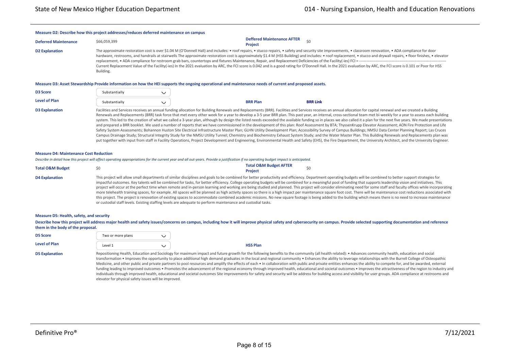### **Measure D2: Describe how this project addresses/reduces deferred maintenance on campus Deferred Maintenance** \$66,059,399 **Deffered Maintenance AFTER Project Manufacture ATTEN** \$0 D2 Explanation The approximate restoration cost is over \$1.04 M (O'Donnell Hall) and includes: • roof repairs, • stucco repairs, • safety and security site improvements, • classroom renovation, • ADA compliance for door hardware, restrooms, and handrails at stairwells The approximate restoration cost is approximately \$1.4 M (HSS Building) and includes: • roof replacement, • stucco and drywall repairs, • floor finishes, • elevator replacement. • ADA compliance for restroom grab bars, countertops and fixtures Maintenance. Repair, and Replacement Deficiencies of the Facility(-ies) FCI = -Current Replacement Value of the Facility(-ies) In the 2021 evaluation by ARC, the FCI score is 0.042 and is a good rating for O'Donnell Hall. In the 2021 evaluation by ARC, the FCI score is 0.101 or Poor for HSS Building. **Measure D3: Asset Stewardship Provide information on how the HEI supports the ongoing operational and maintenance needs of current and proposed assets.**

| <b>D3 Score</b>              | `stantiallv<br>- i i k |                 |                 |
|------------------------------|------------------------|-----------------|-----------------|
| <b>Level of Plan</b>         | ostantially            | <b>SRR Plan</b> | <b>BRR Link</b> |
| and the contract of the con- | -Sub                   |                 |                 |

### D3 Explanation Eacilities and Services receives an annual funding allocation for Building Renewals and Replacements (BRR). Facilities and Services receives an annual allocation for capital renewal and we created a Building Renewals and Replacements (BRR) task force that met every other week for a year to develop a 3-5 year BRR plan. This past year, an internal, cross-sectional team met bi-weekly for a year to assess each building system. This led to the creation of what we called a 3-year plan, although by design the listed needs exceeded the available funding so in places we also called it a plan for the next five years. We made presentations and prepared a BRR booklet. We used a number of reports that we have commissioned in the development of this plan: Roof Assessment by BTA; ThyssenKrupp Elevator Assessment; AON Fire Protection and Life Safety System Assessments; Bohannon Huston Site Electrical Infrastructure Master Plan; GLHN Utility Development Plan; Accessibility Survey of Campus Buildings; NMSU Data Center Planning Report; Las Cruces Campus Drainage Study; Structural Integrity Study for the NMSU Utility Tunnel; Chemistry and Biochemistry Exhaust System Study; and the Water Master Plan. This Building Renewals and Replacements plan was put together with input from staff in Facility Operations, Project Development and Engineering, Environmental Health and Safety (EHS), the Fire Department, the University Architect, and the University Engineer.

### **Measure D4: Maintenance Cost Reduction**

*Describe in detail how this project will affect operating appropriations for the current year and all out‐years. Provide a justification if no operating budget impact is anticipated.*

| <b>Total O&amp;M Budget</b> |                                                                                                                                                                                                                                                                                 | <b>Total O&amp;M Budget AFTER</b><br><b>Project</b> |  |
|-----------------------------|---------------------------------------------------------------------------------------------------------------------------------------------------------------------------------------------------------------------------------------------------------------------------------|-----------------------------------------------------|--|
| <b>D4 Explanation</b>       | This project will allow small departments of similar disciplines and goals to be combined for better productivity and efficiency. Depa<br>impactful outcomes. Key talents will be combined for tasks, for better efficiency. College operating budgets will be combined for a m |                                                     |  |

rtment operating budgets will be combined to better support strategies for neaningful pool of funding that supports leadership vision and initiatives. This project will occur at the perfect time when remote and in‐person learning and working are being studied and planned. This project will consider eliminating need for some staff and faculty offices while incorporating more telehealth training spaces, for example. All spaces will be planned as high activity spaces so there is a high impact per maintenance square foot cost. There will be maintenance cost reductions associated with this project. The project is renovation of existing spaces to accommodate combined academic missions. No new square footage is being added to the building which means there is no need to increase maintenance or custodial staff levels. Existing staffing levels are adequate to perform maintenance and custodial tasks.

#### **Measure D5: Health, safety, and security**

Describe how this project will address major health and safety issues/concerns on campus, including how it will improve physical safety and cybersecurity on campus. Provide selected supporting documentation and reference **them in the body of the proposal.**

| <b>D5 Score</b>       | Two or more plans |                                                                                                   |
|-----------------------|-------------------|---------------------------------------------------------------------------------------------------|
| Level of Plan         | Level 1           | <b>HSS Plan</b>                                                                                   |
| <b>D5</b> Explanation |                   | Repositioning Health. Education and Sociology for maximum impact and future growth for the follow |

vth for the following benefits to the community (all health related): • Advances community health, education and social transformation • Improves the opportunity to place additional high demand graduates in the local and regional community • Enhances the ability to leverage relationships with the Burrell College of Osteopathic Medicine, and other public and private partners to pool resources and amplify the effects of each . In collaboration with public and private entities enhances the ability to compete for, and be awarded, external funding leading to improved outcomes • Promotes the advancement of the regional economy through improved health, educational and societal outcomes • Improves the attractiveness of the region to industry and individuals through improved health, educational and societal outcomes Site improvements for safety and security will be address for building access and visibility for user groups. ADA compliance at restrooms and elevator for physical safety issues will be improved.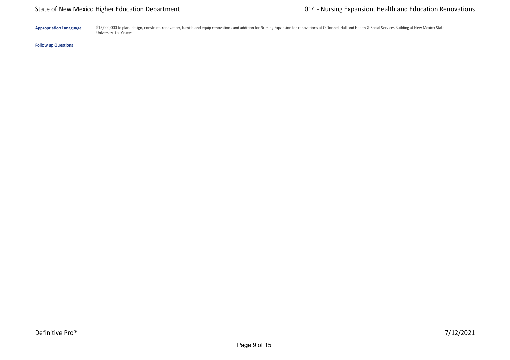Appropriation Lanaguage \$15,000,000 to plan, design, construct, renovation, furnish and equip renovations and addition for Nursing Expansion for renovations at O'Donnell Hall and Health & Social Services Building at New Me University‐ Las Cruces.

**Follow up Questions**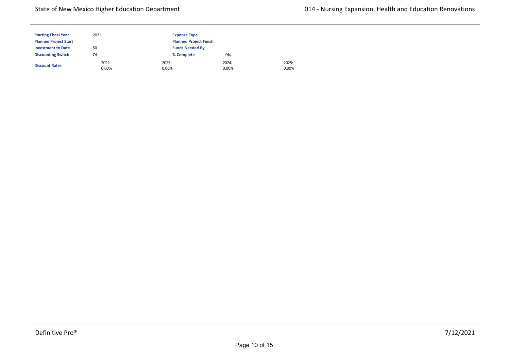## State of New Mexico Higher Education Department

| <b>Starting Fiscal Year</b>  | 2021              | <b>Expense Type</b>           |                   |
|------------------------------|-------------------|-------------------------------|-------------------|
| <b>Planned Project Start</b> |                   | <b>Planned Project Finish</b> |                   |
| <b>Investment to Date</b>    | \$0               | <b>Funds Needed By</b>        |                   |
| <b>Discounting Switch</b>    | Off               | % Complete                    | 0%                |
| <b>Discount Rates</b>        | 2022:<br>$0.00\%$ | 2023:<br>0.00%                | 2024:<br>$0.00\%$ |

2025: 0.00%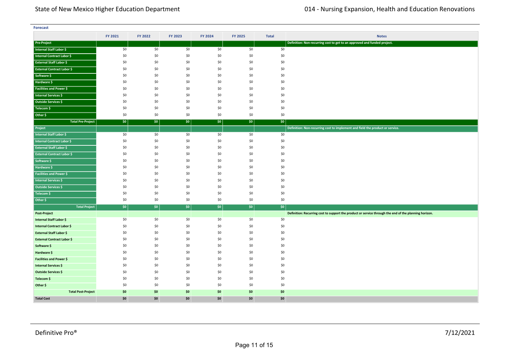| <b>Forecast</b>                                |         |         |         |         |         |              |                                                                                                       |  |
|------------------------------------------------|---------|---------|---------|---------|---------|--------------|-------------------------------------------------------------------------------------------------------|--|
|                                                | FY 2021 | FY 2022 | FY 2023 | FY 2024 | FY 2025 | <b>Total</b> | <b>Notes</b>                                                                                          |  |
| <b>Pre-Project</b>                             |         |         |         |         |         |              | Definition: Non-recurring cost to get to an approved and funded project.                              |  |
| Internal Staff Labor \$                        | \$0     | \$0     | \$0     | \$0     | \$0     | \$0          |                                                                                                       |  |
| <b>Internal Contract Labor \$</b>              | \$0     | \$0     | \$0     | \$0     | \$0     | \$0          |                                                                                                       |  |
| <b>External Staff Labor \$</b>                 | \$0     | \$0     | \$0     | \$0     | \$0     | \$0          |                                                                                                       |  |
| <b>External Contract Labor \$</b>              | \$0     | \$0     | \$0     | \$0     | \$0     | \$0          |                                                                                                       |  |
| Software \$                                    | \$0     | \$0     | \$0     | \$0     | \$0     | \$0          |                                                                                                       |  |
| Hardware \$                                    | \$0     | \$0     | \$0     | \$0     | \$0     | \$0          |                                                                                                       |  |
| <b>Facilities and Power \$</b>                 | \$0     | \$0     | \$0     | \$0     | \$0     | \$0          |                                                                                                       |  |
| Internal Services \$                           | \$0     | \$0     | \$0     | \$0     | \$0     | \$0          |                                                                                                       |  |
| <b>Outside Services \$</b>                     | \$0     | \$0     | \$0     | \$0     | \$0     | \$0          |                                                                                                       |  |
| Telecom \$                                     | \$0     | \$0     | \$0     | \$0     | \$0     | \$0          |                                                                                                       |  |
| Other \$                                       | \$0     | \$0     | \$0     | \$0     | \$0     | \$0          |                                                                                                       |  |
| <b>Total Pre-Project</b>                       | \$0     | \$0     | \$0     | \$0     | \$0     | \$0          |                                                                                                       |  |
| Project                                        |         |         |         |         |         |              | Definition: Non-recurring cost to implement and field the product or service.                         |  |
| <b>Internal Staff Labor \$</b>                 | \$0     | \$0     | \$0     | \$0     | \$0     | \$0          |                                                                                                       |  |
| Internal Contract Labor \$                     | \$0     | \$0     | \$0     | \$0     | \$0     | \$0          |                                                                                                       |  |
| <b>External Staff Labor \$</b>                 | \$0     | \$0     | \$0     | \$0     | \$0     | \$0          |                                                                                                       |  |
| <b>External Contract Labor \$</b>              | \$0     | \$0     | \$0     | \$0     | \$0     | \$0          |                                                                                                       |  |
| Software \$                                    | \$0     | \$0     | \$0     | \$0     | \$0     | \$0          |                                                                                                       |  |
| Hardware \$                                    | \$0     | \$0     | \$0     | \$0     | \$0     | \$0          |                                                                                                       |  |
| <b>Facilities and Power \$</b>                 | \$0     | \$0     | \$0     | \$0     | \$0     | \$0          |                                                                                                       |  |
| <b>Internal Services \$</b>                    | \$0     | \$0     | \$0     | \$0     | \$0     | \$0          |                                                                                                       |  |
| Outside Services \$                            | \$0     | \$0     | \$0     | \$0     | \$0     | \$0          |                                                                                                       |  |
| Telecom \$                                     | \$0     | \$0     | \$0     | \$0     | \$0     | \$0          |                                                                                                       |  |
| Other \$                                       | \$0     | \$0     | \$0     | \$0     | \$0     | \$0          |                                                                                                       |  |
| <b>Total Project</b>                           | \$0     | \$0     | \$0     | \$0     | \$0     | $ $ \$0      |                                                                                                       |  |
| <b>Post-Project</b><br>Internal Staff Labor \$ | \$0     | \$0     | \$0     | \$0     | \$0     | \$0          | Definition: Recurring cost to support the product or service through the end of the planning horizon. |  |
| <b>Internal Contract Labor \$</b>              | \$0     | \$0     | \$0     | \$0     | \$0     | \$0          |                                                                                                       |  |
| <b>External Staff Labor \$</b>                 | \$0     | \$0     | \$0     | \$0     | \$0     | \$0          |                                                                                                       |  |
| <b>External Contract Labor \$</b>              | \$0     | \$0     | \$0     | \$0     | \$0     | \$0          |                                                                                                       |  |
| Software \$                                    | \$0     | \$0     | \$0     | \$0     | \$0     | \$0          |                                                                                                       |  |
| Hardware \$                                    | \$0     | \$0     | \$0     | \$0     | \$0     | \$0          |                                                                                                       |  |
| <b>Facilities and Power \$</b>                 | \$0     | \$0     | \$0     | \$0     | \$0     | \$0          |                                                                                                       |  |
| <b>Internal Services \$</b>                    | \$0     | \$0     | \$0     | \$0     | \$0     | \$0          |                                                                                                       |  |
| Outside Services \$                            | \$0     | \$0     | \$0     | \$0     | \$0     | \$0          |                                                                                                       |  |
| Telecom \$                                     | \$0     | \$0     | \$0     | \$0     | \$0     | \$0          |                                                                                                       |  |
| Other \$                                       | \$0     | \$0     | \$0     | \$0     | \$0     | \$0          |                                                                                                       |  |
| <b>Total Post-Project</b>                      | \$0     | \$0     | \$0     | \$0     | \$0     | \$0          |                                                                                                       |  |
| <b>Total Cost</b>                              | \$0     | \$0     | \$0     | \$0     | \$0     | \$0          |                                                                                                       |  |

**<Source 1> \$** \$0 \$0 \$0 \$0 \$0 \$0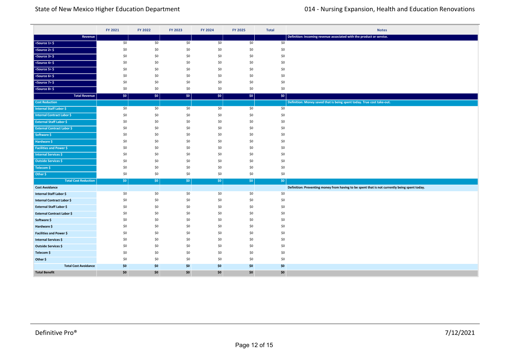|                                                       | FY 2021    | FY 2022     | FY 2023    | FY 2024    | FY 2025    | <b>Total</b>     | <b>Notes</b>                                                                                  |
|-------------------------------------------------------|------------|-------------|------------|------------|------------|------------------|-----------------------------------------------------------------------------------------------|
| Revenue                                               |            |             |            |            |            |                  | Definition: Incoming revenue associated with the product or service.                          |
| $ $ <source 1=""/> \$                                 | \$0        | \$0         | \$0        | \$0        | \$0        | \$0              |                                                                                               |
| $ $ <source 2=""/> \$                                 | \$0        | \$0         | \$0        | \$0        | \$0        | \$0              |                                                                                               |
| $ $ <source 3=""/> \$                                 | \$0        | \$0         | \$0        | \$0        | \$0        | \$0              |                                                                                               |
| $<$ Source 4> $\frac{6}{7}$                           | \$0        | \$0         | \$0        | \$0        | \$0        | \$0              |                                                                                               |
| $50$ <source 5=""/> \$                                | \$0        | \$0         | \$0        | \$0        | \$0        | \$0              |                                                                                               |
| $<$ Source 6> $\frac{1}{2}$                           | \$0        | \$0         | \$0        | \$0        | \$0        | \$0              |                                                                                               |
| $<$ Source 7> $\frac{6}{5}$                           | \$0        | \$0         | \$0        | \$0        | \$0        | \$0              |                                                                                               |
| $\leq$ Source 8> \$                                   | \$0        | \$0         | \$0        | \$0        | \$0        | \$0              |                                                                                               |
| <b>Total Revenue</b>                                  | \$0        | $ $ \$0     | \$0        | \$0\$      | \$0        | \$0\$            |                                                                                               |
| <b>Cost Reduction</b>                                 |            |             |            |            |            |                  | Definition: Money saved that is being spent today. True cost take-out.                        |
| <b>Internal Staff Labor \$</b>                        | \$0        | \$0         | \$0        | \$0        | \$0        | \$0              |                                                                                               |
| <b>Internal Contract Labor \$</b>                     | \$0        | \$0         | \$0        | \$0        | \$0        | \$0              |                                                                                               |
| <b>External Staff Labor \$</b>                        | \$0        | \$0         | \$0        | \$0        | \$0        | \$0              |                                                                                               |
| <b>External Contract Labor \$</b>                     | \$0        | \$0         | \$0        | \$0        | \$0        | \$0              |                                                                                               |
| Software \$                                           | \$0        | \$0         | \$0        | \$0        | \$0        | \$0              |                                                                                               |
| Hardware \$                                           | \$0        | \$0         | \$0        | \$0        | \$0        | \$0              |                                                                                               |
| <b>Facilities and Power \$</b>                        | \$0        | \$0         | \$0        | \$0        | \$0        | \$0              |                                                                                               |
| <b>Internal Services \$</b>                           | \$0        | \$0         | \$0        | \$0        | \$0        | \$0              |                                                                                               |
| <b>Outside Services \$</b>                            | \$0        | \$0         | \$0        | \$0        | \$0        | \$0              |                                                                                               |
| Telecom \$                                            | \$0        | \$0         | \$0        | \$0        | \$0        | \$0              |                                                                                               |
| Other \$                                              | \$0        | \$0         | \$0        | \$0        | \$0        | \$0              |                                                                                               |
| <b>Total Cost Reduction</b>                           | \$0\$      | $ $ \$0 $ $ | \$0        | \$0\$      | \$0        | \$0 <sub>1</sub> |                                                                                               |
| <b>Cost Avoidance</b>                                 |            |             |            |            |            |                  | Definition: Preventing money from having to be spent that is not currently being spent today. |
| Internal Staff Labor \$<br>Internal Contract Labor \$ | \$0<br>\$0 | \$0<br>\$0  | \$0<br>\$0 | \$0<br>\$0 | \$0<br>\$0 | \$0<br>\$0       |                                                                                               |
| <b>External Staff Labor \$</b>                        | \$0        | \$0         | \$0        | \$0        | \$0        | \$0              |                                                                                               |
| <b>External Contract Labor \$</b>                     | \$0        | \$0         | \$0        | \$0        | \$0        | \$0              |                                                                                               |
| Software \$                                           | \$0        | \$0         | \$0        | \$0        | \$0        | \$0              |                                                                                               |
| Hardware \$                                           | \$0        | \$0         | \$0        | \$0        | \$0        | \$0              |                                                                                               |
| Facilities and Power \$                               | \$0        | \$0         | \$0        | \$0        | \$0        | \$0              |                                                                                               |
| <b>Internal Services \$</b>                           | \$0        | \$0         | \$0        | \$0        | \$0        | \$0              |                                                                                               |
| Outside Services \$                                   | \$0        | \$0         | \$0        | \$0        | \$0        | \$0              |                                                                                               |
| Telecom \$                                            | \$0        | \$0         | \$0        | \$0        | \$0        | \$0              |                                                                                               |
| Other \$                                              | \$0        | \$0         | \$0        | \$0        | \$0        | \$0              |                                                                                               |
| <b>Total Cost Avoidance</b>                           | \$0        | \$0         | \$0        | \$0        | \$0        | \$0              |                                                                                               |
| <b>Total Benefit</b>                                  | \$0        | \$0         | \$0        | \$0        | \$0        | \$0              |                                                                                               |

**Total Cost Reduction** \$0 \$0 \$0 \$0 \$0 \$0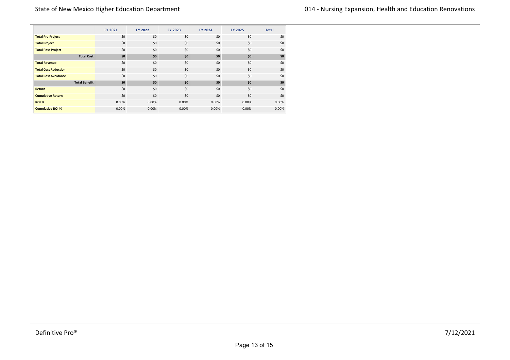|                             |                      | <b>FY 2021</b> | FY 2022 | FY 2023 | FY 2024 | <b>FY 2025</b> | <b>Total</b> |
|-----------------------------|----------------------|----------------|---------|---------|---------|----------------|--------------|
| <b>Total Pre-Project</b>    |                      | \$0            | \$0     | \$0     | \$0     | \$0            | \$0          |
| <b>Total Project</b>        |                      | \$0            | \$0     | \$0     | \$0     | \$0            | \$0          |
| <b>Total Post-Project</b>   |                      | \$0            | \$0     | \$0     | \$0     | \$0            | \$0          |
|                             | <b>Total Cost</b>    | \$0            | \$0     | \$0     | \$0     | \$0            | \$0          |
| <b>Total Revenue</b>        |                      | \$0            | \$0     | \$0     | \$0     | \$0            | \$0          |
| <b>Total Cost Reduction</b> |                      | \$0            | \$0     | \$0     | \$0     | \$0            | \$0          |
| <b>Total Cost Avoidance</b> |                      | \$0            | \$0     | \$0     | \$0     | \$0            | \$0          |
|                             | <b>Total Benefit</b> | \$0            | \$0     | \$0     | \$0     | \$0            | \$0          |
| <b>Return</b>               |                      | \$0            | \$0     | \$0     | \$0     | \$0            | \$0          |
| <b>Cumulative Return</b>    |                      | \$0            | \$0     | \$0     | \$0     | \$0            | \$0          |
| ROI %                       |                      | 0.00%          | 0.00%   | 0.00%   | 0.00%   | 0.00%          | 0.00%        |
| <b>Cumulative ROI %</b>     |                      | 0.00%          | 0.00%   | 0.00%   | 0.00%   | 0.00%          | 0.00%        |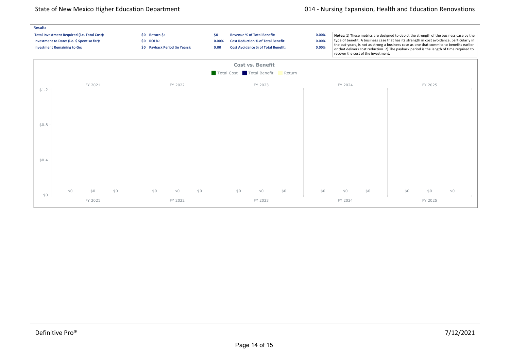## State of New Mexico Higher Education Department **014 Figure 114 Construction** 014 - Nursing Expansion, Health and Education Renovations